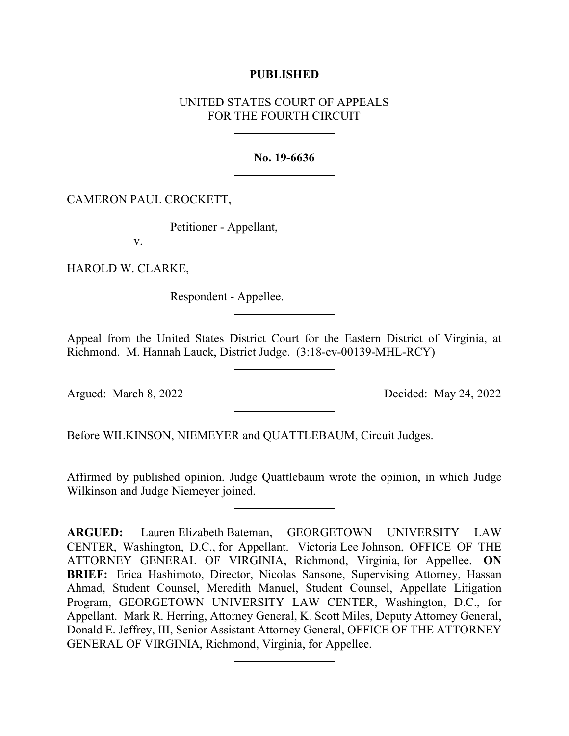### **PUBLISHED**

# UNITED STATES COURT OF APPEALS FOR THE FOURTH CIRCUIT

### **No. 19-6636**

### CAMERON PAUL CROCKETT,

Petitioner - Appellant,

v.

HAROLD W. CLARKE,

Respondent - Appellee.

Appeal from the United States District Court for the Eastern District of Virginia, at Richmond. M. Hannah Lauck, District Judge. (3:18-cv-00139-MHL-RCY)

Argued: March 8, 2022 Decided: May 24, 2022

Before WILKINSON, NIEMEYER and QUATTLEBAUM, Circuit Judges.

Affirmed by published opinion. Judge Quattlebaum wrote the opinion, in which Judge Wilkinson and Judge Niemeyer joined.

**ARGUED:** Lauren Elizabeth Bateman, GEORGETOWN UNIVERSITY LAW CENTER, Washington, D.C., for Appellant. Victoria Lee Johnson, OFFICE OF THE ATTORNEY GENERAL OF VIRGINIA, Richmond, Virginia, for Appellee. **ON BRIEF:** Erica Hashimoto, Director, Nicolas Sansone, Supervising Attorney, Hassan Ahmad, Student Counsel, Meredith Manuel, Student Counsel, Appellate Litigation Program, GEORGETOWN UNIVERSITY LAW CENTER, Washington, D.C., for Appellant. Mark R. Herring, Attorney General, K. Scott Miles, Deputy Attorney General, Donald E. Jeffrey, III, Senior Assistant Attorney General, OFFICE OF THE ATTORNEY GENERAL OF VIRGINIA, Richmond, Virginia, for Appellee.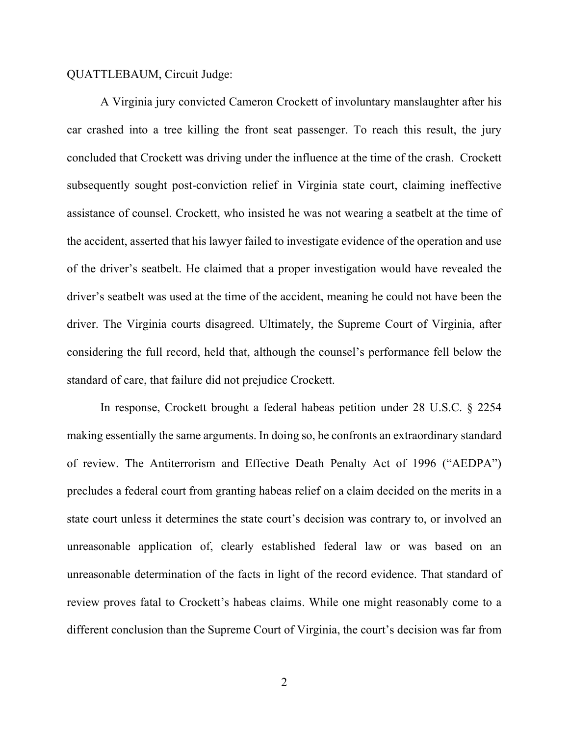#### QUATTLEBAUM, Circuit Judge:

A Virginia jury convicted Cameron Crockett of involuntary manslaughter after his car crashed into a tree killing the front seat passenger. To reach this result, the jury concluded that Crockett was driving under the influence at the time of the crash. Crockett subsequently sought post-conviction relief in Virginia state court, claiming ineffective assistance of counsel. Crockett, who insisted he was not wearing a seatbelt at the time of the accident, asserted that his lawyer failed to investigate evidence of the operation and use of the driver's seatbelt. He claimed that a proper investigation would have revealed the driver's seatbelt was used at the time of the accident, meaning he could not have been the driver. The Virginia courts disagreed. Ultimately, the Supreme Court of Virginia, after considering the full record, held that, although the counsel's performance fell below the standard of care, that failure did not prejudice Crockett.

In response, Crockett brought a federal habeas petition under 28 U.S.C. § 2254 making essentially the same arguments. In doing so, he confronts an extraordinary standard of review. The Antiterrorism and Effective Death Penalty Act of 1996 ("AEDPA") precludes a federal court from granting habeas relief on a claim decided on the merits in a state court unless it determines the state court's decision was contrary to, or involved an unreasonable application of, clearly established federal law or was based on an unreasonable determination of the facts in light of the record evidence. That standard of review proves fatal to Crockett's habeas claims. While one might reasonably come to a different conclusion than the Supreme Court of Virginia, the court's decision was far from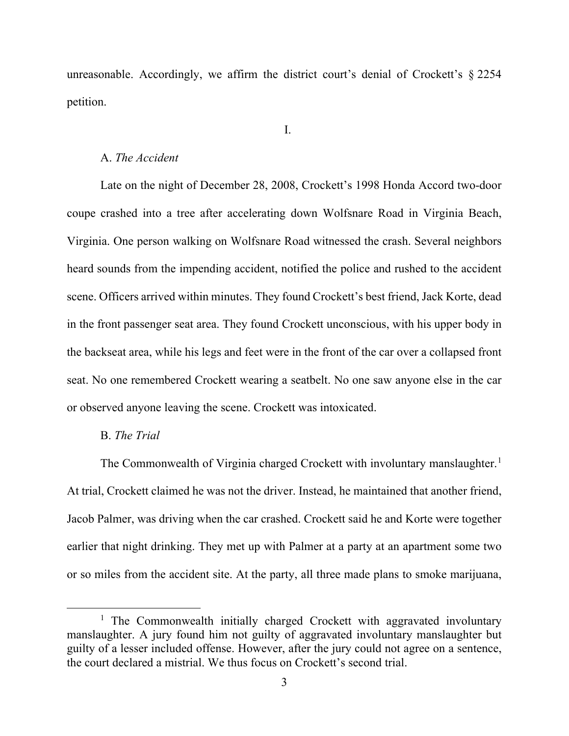unreasonable. Accordingly, we affirm the district court's denial of Crockett's § 2254 petition.

#### I.

### A. *The Accident*

Late on the night of December 28, 2008, Crockett's 1998 Honda Accord two-door coupe crashed into a tree after accelerating down Wolfsnare Road in Virginia Beach, Virginia. One person walking on Wolfsnare Road witnessed the crash. Several neighbors heard sounds from the impending accident, notified the police and rushed to the accident scene. Officers arrived within minutes. They found Crockett's best friend, Jack Korte, dead in the front passenger seat area. They found Crockett unconscious, with his upper body in the backseat area, while his legs and feet were in the front of the car over a collapsed front seat. No one remembered Crockett wearing a seatbelt. No one saw anyone else in the car or observed anyone leaving the scene. Crockett was intoxicated.

### B. *The Trial*

The Commonwealth of Virginia charged Crockett with involuntary manslaughter.<sup>[1](#page-2-0)</sup> At trial, Crockett claimed he was not the driver. Instead, he maintained that another friend, Jacob Palmer, was driving when the car crashed. Crockett said he and Korte were together earlier that night drinking. They met up with Palmer at a party at an apartment some two or so miles from the accident site. At the party, all three made plans to smoke marijuana,

<span id="page-2-0"></span><sup>&</sup>lt;sup>1</sup> The Commonwealth initially charged Crockett with aggravated involuntary manslaughter. A jury found him not guilty of aggravated involuntary manslaughter but guilty of a lesser included offense. However, after the jury could not agree on a sentence, the court declared a mistrial. We thus focus on Crockett's second trial.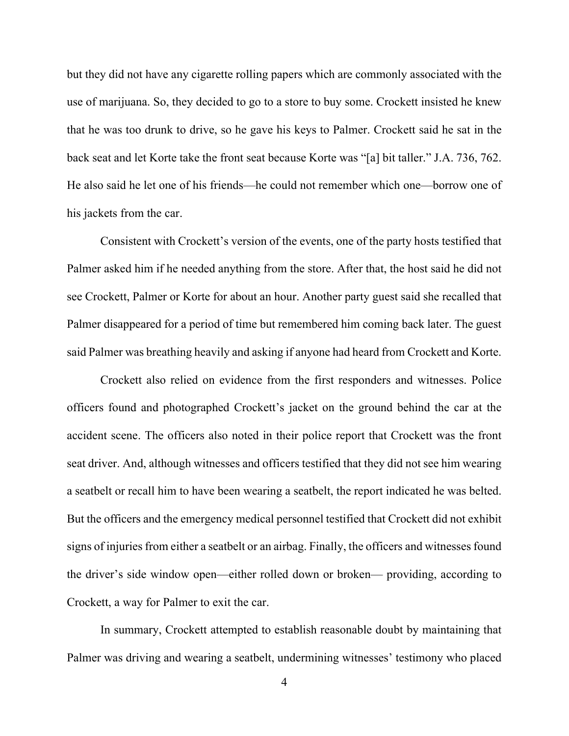but they did not have any cigarette rolling papers which are commonly associated with the use of marijuana. So, they decided to go to a store to buy some. Crockett insisted he knew that he was too drunk to drive, so he gave his keys to Palmer. Crockett said he sat in the back seat and let Korte take the front seat because Korte was "[a] bit taller." J.A. 736, 762. He also said he let one of his friends—he could not remember which one—borrow one of his jackets from the car.

Consistent with Crockett's version of the events, one of the party hosts testified that Palmer asked him if he needed anything from the store. After that, the host said he did not see Crockett, Palmer or Korte for about an hour. Another party guest said she recalled that Palmer disappeared for a period of time but remembered him coming back later. The guest said Palmer was breathing heavily and asking if anyone had heard from Crockett and Korte.

Crockett also relied on evidence from the first responders and witnesses. Police officers found and photographed Crockett's jacket on the ground behind the car at the accident scene. The officers also noted in their police report that Crockett was the front seat driver. And, although witnesses and officers testified that they did not see him wearing a seatbelt or recall him to have been wearing a seatbelt, the report indicated he was belted. But the officers and the emergency medical personnel testified that Crockett did not exhibit signs of injuries from either a seatbelt or an airbag. Finally, the officers and witnesses found the driver's side window open—either rolled down or broken— providing, according to Crockett, a way for Palmer to exit the car.

In summary, Crockett attempted to establish reasonable doubt by maintaining that Palmer was driving and wearing a seatbelt, undermining witnesses' testimony who placed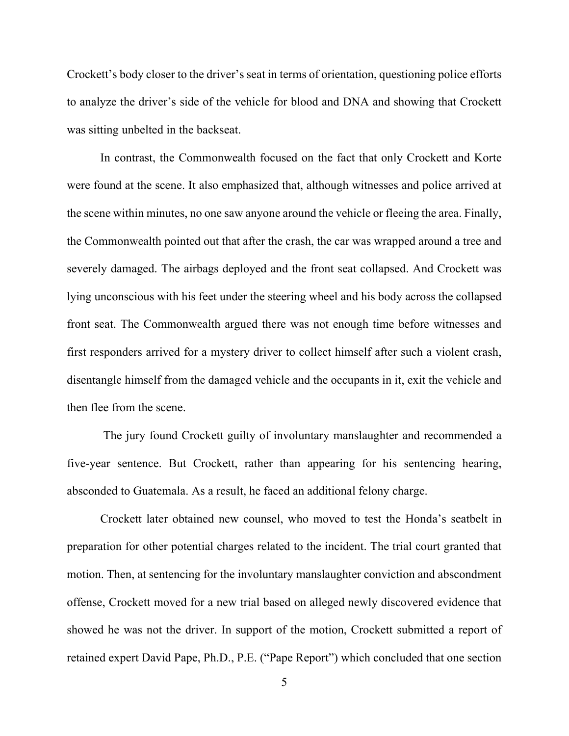Crockett's body closer to the driver's seat in terms of orientation, questioning police efforts to analyze the driver's side of the vehicle for blood and DNA and showing that Crockett was sitting unbelted in the backseat.

In contrast, the Commonwealth focused on the fact that only Crockett and Korte were found at the scene. It also emphasized that, although witnesses and police arrived at the scene within minutes, no one saw anyone around the vehicle or fleeing the area. Finally, the Commonwealth pointed out that after the crash, the car was wrapped around a tree and severely damaged. The airbags deployed and the front seat collapsed. And Crockett was lying unconscious with his feet under the steering wheel and his body across the collapsed front seat. The Commonwealth argued there was not enough time before witnesses and first responders arrived for a mystery driver to collect himself after such a violent crash, disentangle himself from the damaged vehicle and the occupants in it, exit the vehicle and then flee from the scene.

The jury found Crockett guilty of involuntary manslaughter and recommended a five-year sentence. But Crockett, rather than appearing for his sentencing hearing, absconded to Guatemala. As a result, he faced an additional felony charge.

Crockett later obtained new counsel, who moved to test the Honda's seatbelt in preparation for other potential charges related to the incident. The trial court granted that motion. Then, at sentencing for the involuntary manslaughter conviction and abscondment offense, Crockett moved for a new trial based on alleged newly discovered evidence that showed he was not the driver. In support of the motion, Crockett submitted a report of retained expert David Pape, Ph.D., P.E. ("Pape Report") which concluded that one section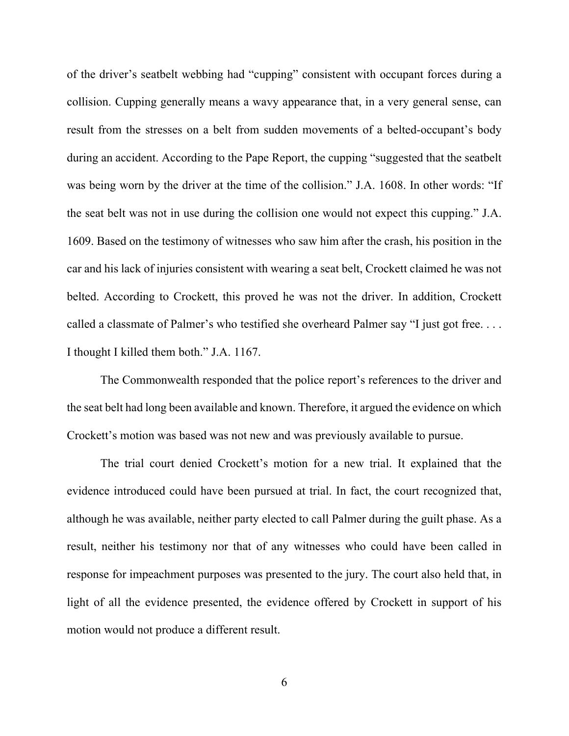of the driver's seatbelt webbing had "cupping" consistent with occupant forces during a collision. Cupping generally means a wavy appearance that, in a very general sense, can result from the stresses on a belt from sudden movements of a belted-occupant's body during an accident. According to the Pape Report, the cupping "suggested that the seatbelt was being worn by the driver at the time of the collision." J.A. 1608. In other words: "If the seat belt was not in use during the collision one would not expect this cupping." J.A. 1609. Based on the testimony of witnesses who saw him after the crash, his position in the car and his lack of injuries consistent with wearing a seat belt, Crockett claimed he was not belted. According to Crockett, this proved he was not the driver. In addition, Crockett called a classmate of Palmer's who testified she overheard Palmer say "I just got free. . . . I thought I killed them both." J.A. 1167.

The Commonwealth responded that the police report's references to the driver and the seat belt had long been available and known. Therefore, it argued the evidence on which Crockett's motion was based was not new and was previously available to pursue.

The trial court denied Crockett's motion for a new trial. It explained that the evidence introduced could have been pursued at trial. In fact, the court recognized that, although he was available, neither party elected to call Palmer during the guilt phase. As a result, neither his testimony nor that of any witnesses who could have been called in response for impeachment purposes was presented to the jury. The court also held that, in light of all the evidence presented, the evidence offered by Crockett in support of his motion would not produce a different result.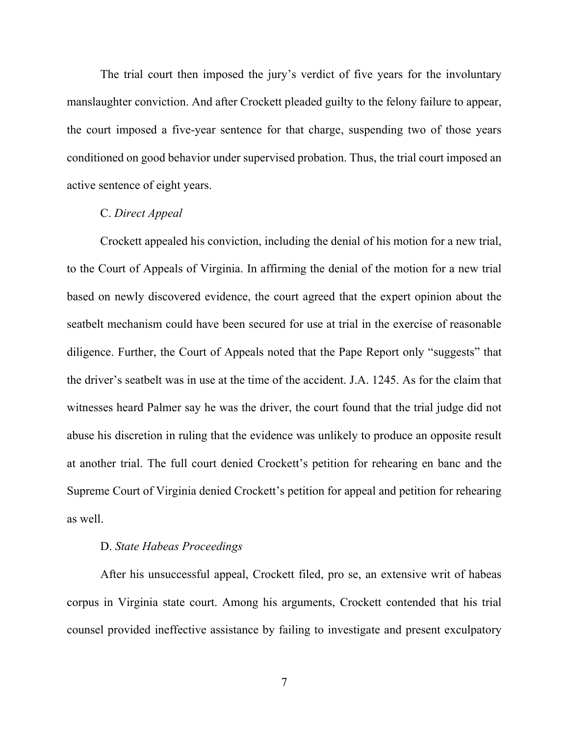The trial court then imposed the jury's verdict of five years for the involuntary manslaughter conviction. And after Crockett pleaded guilty to the felony failure to appear, the court imposed a five-year sentence for that charge, suspending two of those years conditioned on good behavior under supervised probation. Thus, the trial court imposed an active sentence of eight years.

#### C. *Direct Appeal*

Crockett appealed his conviction, including the denial of his motion for a new trial, to the Court of Appeals of Virginia. In affirming the denial of the motion for a new trial based on newly discovered evidence, the court agreed that the expert opinion about the seatbelt mechanism could have been secured for use at trial in the exercise of reasonable diligence. Further, the Court of Appeals noted that the Pape Report only "suggests" that the driver's seatbelt was in use at the time of the accident. J.A. 1245. As for the claim that witnesses heard Palmer say he was the driver, the court found that the trial judge did not abuse his discretion in ruling that the evidence was unlikely to produce an opposite result at another trial. The full court denied Crockett's petition for rehearing en banc and the Supreme Court of Virginia denied Crockett's petition for appeal and petition for rehearing as well.

# D. *State Habeas Proceedings*

After his unsuccessful appeal, Crockett filed, pro se, an extensive writ of habeas corpus in Virginia state court. Among his arguments, Crockett contended that his trial counsel provided ineffective assistance by failing to investigate and present exculpatory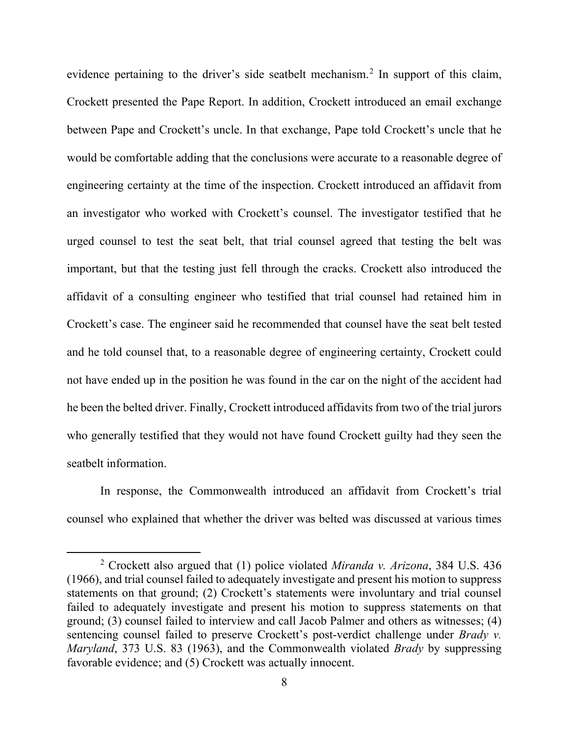evidence pertaining to the driver's side seatbelt mechanism.<sup>[2](#page-7-0)</sup> In support of this claim, Crockett presented the Pape Report. In addition, Crockett introduced an email exchange between Pape and Crockett's uncle. In that exchange, Pape told Crockett's uncle that he would be comfortable adding that the conclusions were accurate to a reasonable degree of engineering certainty at the time of the inspection. Crockett introduced an affidavit from an investigator who worked with Crockett's counsel. The investigator testified that he urged counsel to test the seat belt, that trial counsel agreed that testing the belt was important, but that the testing just fell through the cracks. Crockett also introduced the affidavit of a consulting engineer who testified that trial counsel had retained him in Crockett's case. The engineer said he recommended that counsel have the seat belt tested and he told counsel that, to a reasonable degree of engineering certainty, Crockett could not have ended up in the position he was found in the car on the night of the accident had he been the belted driver. Finally, Crockett introduced affidavits from two of the trial jurors who generally testified that they would not have found Crockett guilty had they seen the seatbelt information.

In response, the Commonwealth introduced an affidavit from Crockett's trial counsel who explained that whether the driver was belted was discussed at various times

<span id="page-7-0"></span><sup>2</sup> Crockett also argued that (1) police violated *Miranda v. Arizona*, 384 U.S. 436 (1966), and trial counsel failed to adequately investigate and present his motion to suppress statements on that ground; (2) Crockett's statements were involuntary and trial counsel failed to adequately investigate and present his motion to suppress statements on that ground; (3) counsel failed to interview and call Jacob Palmer and others as witnesses; (4) sentencing counsel failed to preserve Crockett's post-verdict challenge under *Brady v. Maryland*, 373 U.S. 83 (1963), and the Commonwealth violated *Brady* by suppressing favorable evidence; and (5) Crockett was actually innocent.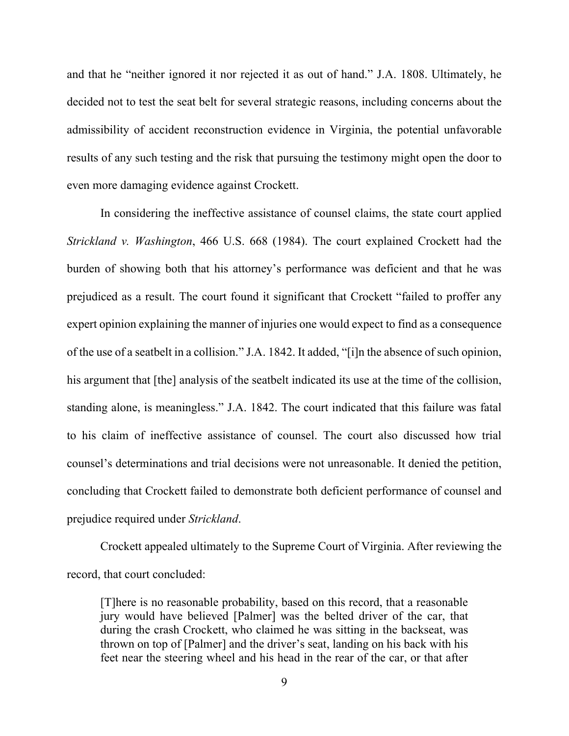and that he "neither ignored it nor rejected it as out of hand." J.A. 1808. Ultimately, he decided not to test the seat belt for several strategic reasons, including concerns about the admissibility of accident reconstruction evidence in Virginia, the potential unfavorable results of any such testing and the risk that pursuing the testimony might open the door to even more damaging evidence against Crockett.

In considering the ineffective assistance of counsel claims, the state court applied *Strickland v. Washington*, 466 U.S. 668 (1984). The court explained Crockett had the burden of showing both that his attorney's performance was deficient and that he was prejudiced as a result. The court found it significant that Crockett "failed to proffer any expert opinion explaining the manner of injuries one would expect to find as a consequence of the use of a seatbelt in a collision." J.A. 1842. It added, "[i]n the absence of such opinion, his argument that [the] analysis of the seatbelt indicated its use at the time of the collision, standing alone, is meaningless." J.A. 1842. The court indicated that this failure was fatal to his claim of ineffective assistance of counsel. The court also discussed how trial counsel's determinations and trial decisions were not unreasonable. It denied the petition, concluding that Crockett failed to demonstrate both deficient performance of counsel and prejudice required under *Strickland*.

Crockett appealed ultimately to the Supreme Court of Virginia. After reviewing the record, that court concluded:

[T]here is no reasonable probability, based on this record, that a reasonable jury would have believed [Palmer] was the belted driver of the car, that during the crash Crockett, who claimed he was sitting in the backseat, was thrown on top of [Palmer] and the driver's seat, landing on his back with his feet near the steering wheel and his head in the rear of the car, or that after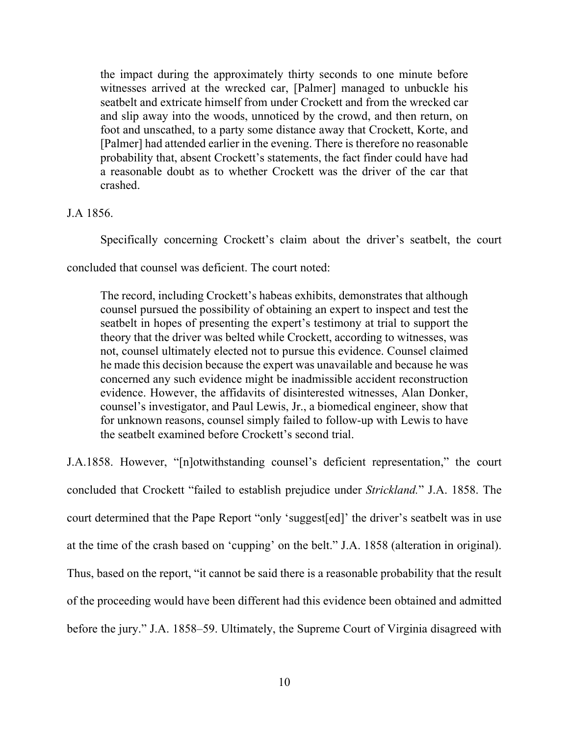the impact during the approximately thirty seconds to one minute before witnesses arrived at the wrecked car, [Palmer] managed to unbuckle his seatbelt and extricate himself from under Crockett and from the wrecked car and slip away into the woods, unnoticed by the crowd, and then return, on foot and unscathed, to a party some distance away that Crockett, Korte, and [Palmer] had attended earlier in the evening. There is therefore no reasonable probability that, absent Crockett's statements, the fact finder could have had a reasonable doubt as to whether Crockett was the driver of the car that crashed.

J.A 1856.

Specifically concerning Crockett's claim about the driver's seatbelt, the court

concluded that counsel was deficient. The court noted:

The record, including Crockett's habeas exhibits, demonstrates that although counsel pursued the possibility of obtaining an expert to inspect and test the seatbelt in hopes of presenting the expert's testimony at trial to support the theory that the driver was belted while Crockett, according to witnesses, was not, counsel ultimately elected not to pursue this evidence. Counsel claimed he made this decision because the expert was unavailable and because he was concerned any such evidence might be inadmissible accident reconstruction evidence. However, the affidavits of disinterested witnesses, Alan Donker, counsel's investigator, and Paul Lewis, Jr., a biomedical engineer, show that for unknown reasons, counsel simply failed to follow-up with Lewis to have the seatbelt examined before Crockett's second trial.

J.A.1858. However, "[n]otwithstanding counsel's deficient representation," the court concluded that Crockett "failed to establish prejudice under *Strickland.*" J.A. 1858. The court determined that the Pape Report "only 'suggest[ed]' the driver's seatbelt was in use at the time of the crash based on 'cupping' on the belt." J.A. 1858 (alteration in original). Thus, based on the report, "it cannot be said there is a reasonable probability that the result of the proceeding would have been different had this evidence been obtained and admitted before the jury." J.A. 1858–59. Ultimately, the Supreme Court of Virginia disagreed with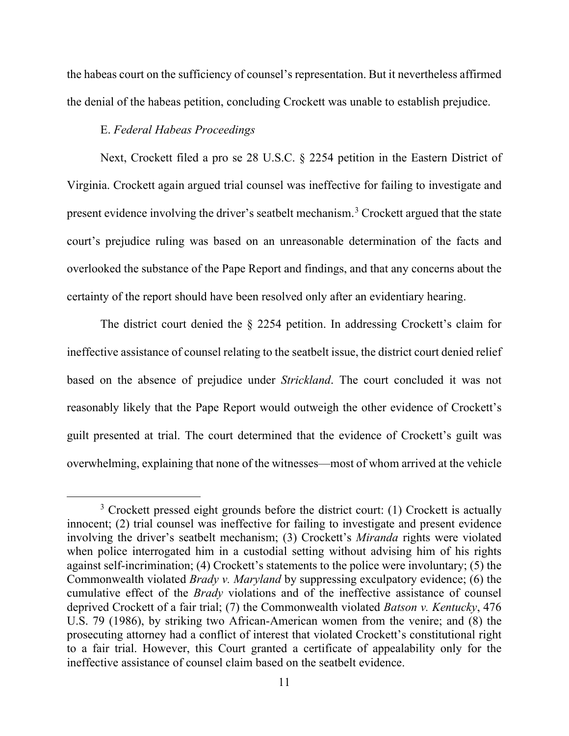the habeas court on the sufficiency of counsel's representation. But it nevertheless affirmed the denial of the habeas petition, concluding Crockett was unable to establish prejudice.

# E. *Federal Habeas Proceedings*

Next, Crockett filed a pro se 28 U.S.C. § 2254 petition in the Eastern District of Virginia. Crockett again argued trial counsel was ineffective for failing to investigate and present evidence involving the driver's seatbelt mechanism.<sup>[3](#page-10-0)</sup> Crockett argued that the state court's prejudice ruling was based on an unreasonable determination of the facts and overlooked the substance of the Pape Report and findings, and that any concerns about the certainty of the report should have been resolved only after an evidentiary hearing.

The district court denied the § 2254 petition. In addressing Crockett's claim for ineffective assistance of counsel relating to the seatbelt issue, the district court denied relief based on the absence of prejudice under *Strickland*. The court concluded it was not reasonably likely that the Pape Report would outweigh the other evidence of Crockett's guilt presented at trial. The court determined that the evidence of Crockett's guilt was overwhelming, explaining that none of the witnesses—most of whom arrived at the vehicle

<span id="page-10-0"></span><sup>&</sup>lt;sup>3</sup> Crockett pressed eight grounds before the district court: (1) Crockett is actually innocent; (2) trial counsel was ineffective for failing to investigate and present evidence involving the driver's seatbelt mechanism; (3) Crockett's *Miranda* rights were violated when police interrogated him in a custodial setting without advising him of his rights against self-incrimination; (4) Crockett's statements to the police were involuntary; (5) the Commonwealth violated *Brady v. Maryland* by suppressing exculpatory evidence; (6) the cumulative effect of the *Brady* violations and of the ineffective assistance of counsel deprived Crockett of a fair trial; (7) the Commonwealth violated *Batson v. Kentucky*, 476 U.S. 79 (1986), by striking two African-American women from the venire; and (8) the prosecuting attorney had a conflict of interest that violated Crockett's constitutional right to a fair trial. However, this Court granted a certificate of appealability only for the ineffective assistance of counsel claim based on the seatbelt evidence.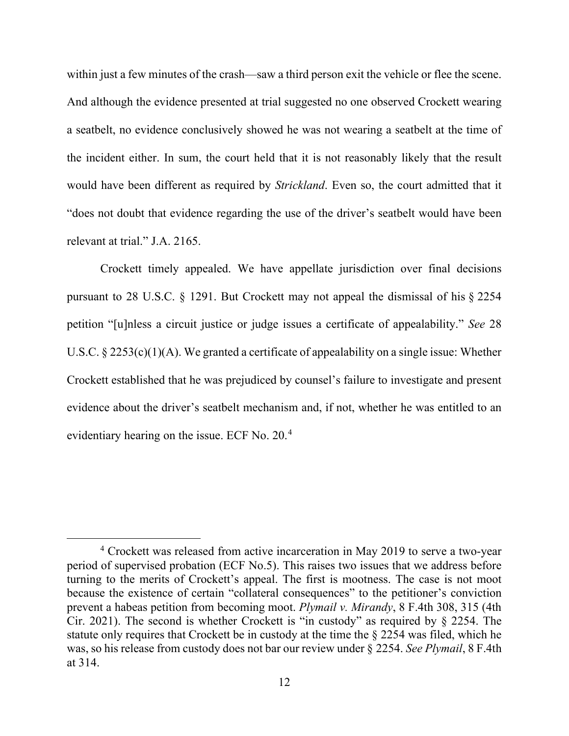within just a few minutes of the crash—saw a third person exit the vehicle or flee the scene. And although the evidence presented at trial suggested no one observed Crockett wearing a seatbelt, no evidence conclusively showed he was not wearing a seatbelt at the time of the incident either. In sum, the court held that it is not reasonably likely that the result would have been different as required by *Strickland*. Even so, the court admitted that it "does not doubt that evidence regarding the use of the driver's seatbelt would have been relevant at trial." J.A. 2165.

Crockett timely appealed. We have appellate jurisdiction over final decisions pursuant to 28 U.S.C. § 1291. But Crockett may not appeal the dismissal of his § 2254 petition "[u]nless a circuit justice or judge issues a certificate of appealability." *See* 28 U.S.C.  $\S 2253(c)(1)(A)$ . We granted a certificate of appealability on a single issue: Whether Crockett established that he was prejudiced by counsel's failure to investigate and present evidence about the driver's seatbelt mechanism and, if not, whether he was entitled to an evidentiary hearing on the issue. ECF No. 20.[4](#page-11-0)

<span id="page-11-0"></span><sup>4</sup> Crockett was released from active incarceration in May 2019 to serve a two-year period of supervised probation (ECF No.5). This raises two issues that we address before turning to the merits of Crockett's appeal. The first is mootness. The case is not moot because the existence of certain "collateral consequences" to the petitioner's conviction prevent a habeas petition from becoming moot. *Plymail v. Mirandy*, 8 F.4th 308, 315 (4th Cir. 2021). The second is whether Crockett is "in custody" as required by § 2254. The statute only requires that Crockett be in custody at the time the § 2254 was filed, which he was, so his release from custody does not bar our review under § 2254. *See Plymail*, 8 F.4th at 314.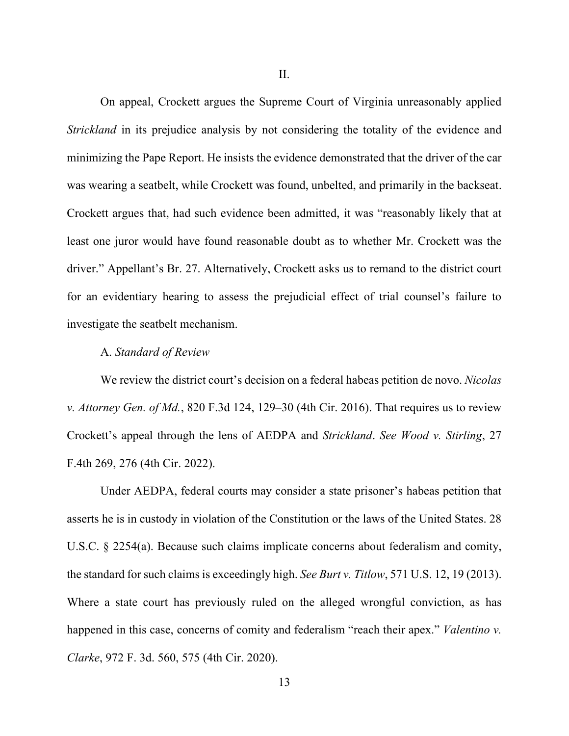II.

On appeal, Crockett argues the Supreme Court of Virginia unreasonably applied *Strickland* in its prejudice analysis by not considering the totality of the evidence and minimizing the Pape Report. He insists the evidence demonstrated that the driver of the car was wearing a seatbelt, while Crockett was found, unbelted, and primarily in the backseat. Crockett argues that, had such evidence been admitted, it was "reasonably likely that at least one juror would have found reasonable doubt as to whether Mr. Crockett was the driver." Appellant's Br. 27. Alternatively, Crockett asks us to remand to the district court for an evidentiary hearing to assess the prejudicial effect of trial counsel's failure to investigate the seatbelt mechanism.

#### A. *Standard of Review*

We review the district court's decision on a federal habeas petition de novo. *Nicolas v. Attorney Gen. of Md.*, 820 F.3d 124, 129–30 (4th Cir. 2016). That requires us to review Crockett's appeal through the lens of AEDPA and *Strickland*. *See Wood v. Stirling*, 27 F.4th 269, 276 (4th Cir. 2022).

Under AEDPA, federal courts may consider a state prisoner's habeas petition that asserts he is in custody in violation of the Constitution or the laws of the United States. 28 U.S.C. § 2254(a). Because such claims implicate concerns about federalism and comity, the standard for such claims is exceedingly high. *See Burt v. Titlow*, 571 U.S. 12, 19 (2013). Where a state court has previously ruled on the alleged wrongful conviction, as has happened in this case, concerns of comity and federalism "reach their apex." *Valentino v. Clarke*, 972 F. 3d. 560, 575 (4th Cir. 2020).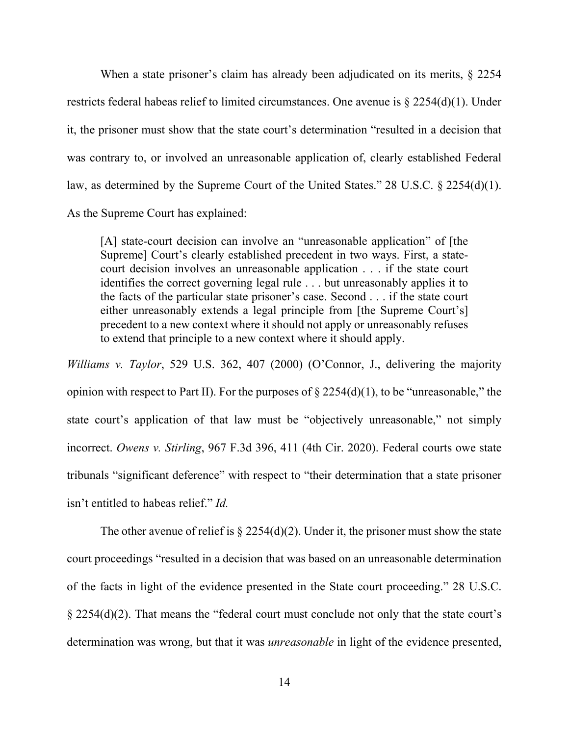When a state prisoner's claim has already been adjudicated on its merits, § 2254 restricts federal habeas relief to limited circumstances. One avenue is § 2254(d)(1). Under it, the prisoner must show that the state court's determination "resulted in a decision that was contrary to, or involved an unreasonable application of, clearly established Federal law, as determined by the Supreme Court of the United States." 28 U.S.C. § 2254(d)(1). As the Supreme Court has explained:

[A] state-court decision can involve an "unreasonable application" of [the Supreme] Court's clearly established precedent in two ways. First, a statecourt decision involves an unreasonable application . . . if the state court identifies the correct governing legal rule . . . but unreasonably applies it to the facts of the particular state prisoner's case. Second . . . if the state court either unreasonably extends a legal principle from [the Supreme Court's] precedent to a new context where it should not apply or unreasonably refuses to extend that principle to a new context where it should apply.

*Williams v. Taylor*, 529 U.S. 362, 407 (2000) (O'Connor, J., delivering the majority opinion with respect to Part II). For the purposes of  $\S 2254(d)(1)$ , to be "unreasonable," the state court's application of that law must be "objectively unreasonable," not simply incorrect. *Owens v. Stirling*, 967 F.3d 396, 411 (4th Cir. 2020). Federal courts owe state tribunals "significant deference" with respect to "their determination that a state prisoner isn't entitled to habeas relief." *Id.*

The other avenue of relief is  $\S 2254(d)(2)$ . Under it, the prisoner must show the state court proceedings "resulted in a decision that was based on an unreasonable determination of the facts in light of the evidence presented in the State court proceeding." 28 U.S.C. § 2254(d)(2). That means the "federal court must conclude not only that the state court's determination was wrong, but that it was *unreasonable* in light of the evidence presented,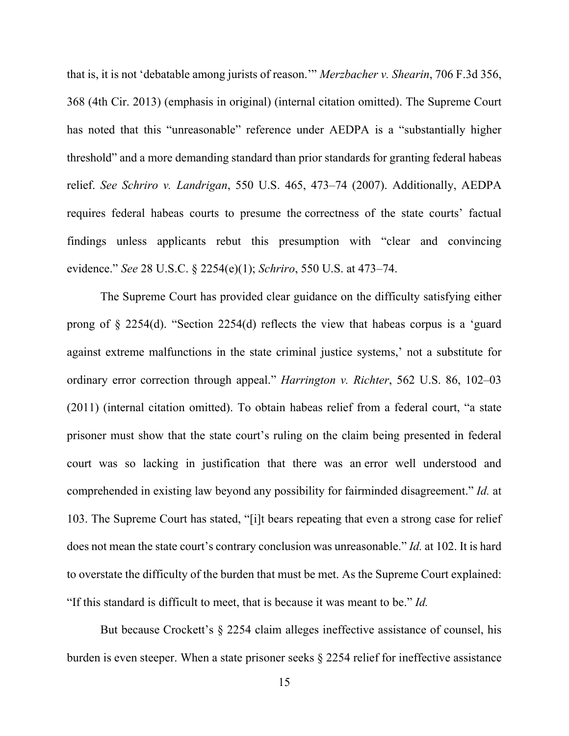that is, it is not 'debatable among jurists of reason.'" *Merzbacher v. Shearin*, 706 F.3d 356, 368 (4th Cir. 2013) (emphasis in original) (internal citation omitted). The Supreme Court has noted that this "unreasonable" reference under AEDPA is a "substantially higher threshold" and a more demanding standard than prior standards for granting federal habeas relief. *See Schriro v. Landrigan*, 550 U.S. 465, 473–74 (2007). Additionally, AEDPA requires federal habeas courts to presume the correctness of the state courts' factual findings unless applicants rebut this presumption with "clear and convincing evidence." *See* 28 U.S.C. § 2254(e)(1); *Schriro*, 550 U.S. at 473–74.

The Supreme Court has provided clear guidance on the difficulty satisfying either prong of § 2254(d). "Section 2254(d) reflects the view that habeas corpus is a 'guard against extreme malfunctions in the state criminal justice systems,' not a substitute for ordinary error correction through appeal." *Harrington v. Richter*, 562 U.S. 86, 102–03 (2011) (internal citation omitted). To obtain habeas relief from a federal court, "a state prisoner must show that the state court's ruling on the claim being presented in federal court was so lacking in justification that there was an error well understood and comprehended in existing law beyond any possibility for fairminded disagreement." *Id.* at 103. The Supreme Court has stated, "[i]t bears repeating that even a strong case for relief does not mean the state court's contrary conclusion was unreasonable." *Id.* at 102. It is hard to overstate the difficulty of the burden that must be met. As the Supreme Court explained: "If this standard is difficult to meet, that is because it was meant to be." *Id.*

But because Crockett's § 2254 claim alleges ineffective assistance of counsel, his burden is even steeper. When a state prisoner seeks § 2254 relief for ineffective assistance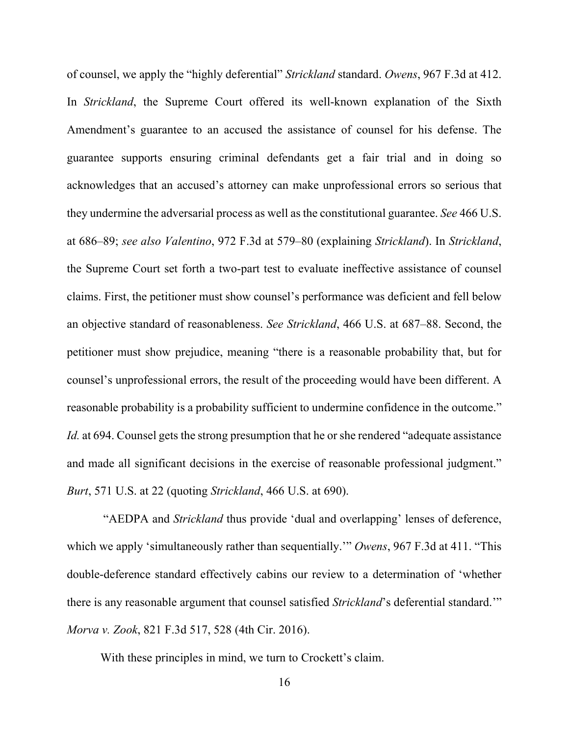of counsel, we apply the "highly deferential" *Strickland* standard. *Owens*, 967 F.3d at 412. In *Strickland*, the Supreme Court offered its well-known explanation of the Sixth Amendment's guarantee to an accused the assistance of counsel for his defense. The guarantee supports ensuring criminal defendants get a fair trial and in doing so acknowledges that an accused's attorney can make unprofessional errors so serious that they undermine the adversarial process as well as the constitutional guarantee. *See* 466 U.S. at 686–89; *see also Valentino*, 972 F.3d at 579–80 (explaining *Strickland*). In *Strickland*, the Supreme Court set forth a two-part test to evaluate ineffective assistance of counsel claims. First, the petitioner must show counsel's performance was deficient and fell below an objective standard of reasonableness. *See Strickland*, 466 U.S. at 687–88. Second, the petitioner must show prejudice, meaning "there is a reasonable probability that, but for counsel's unprofessional errors, the result of the proceeding would have been different. A reasonable probability is a probability sufficient to undermine confidence in the outcome." *Id.* at 694. Counsel gets the strong presumption that he or she rendered "adequate assistance" and made all significant decisions in the exercise of reasonable professional judgment." *Burt*, 571 U.S. at 22 (quoting *Strickland*, 466 U.S. at 690).

"AEDPA and *Strickland* thus provide 'dual and overlapping' lenses of deference, which we apply 'simultaneously rather than sequentially.'" *Owens*, 967 F.3d at 411. "This double-deference standard effectively cabins our review to a determination of 'whether there is any reasonable argument that counsel satisfied *Strickland*'s deferential standard.'" *Morva v. Zook*, 821 F.3d 517, 528 (4th Cir. 2016).

With these principles in mind, we turn to Crockett's claim.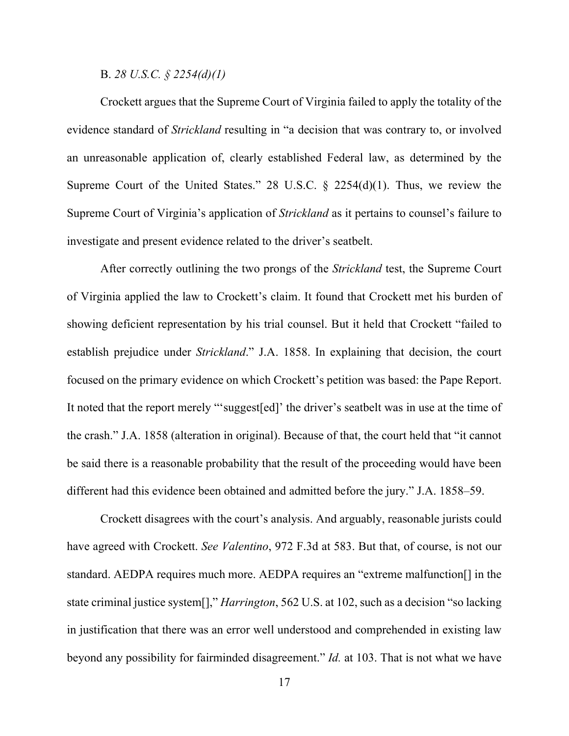B. *28 U.S.C. § 2254(d)(1)*

Crockett argues that the Supreme Court of Virginia failed to apply the totality of the evidence standard of *Strickland* resulting in "a decision that was contrary to, or involved an unreasonable application of, clearly established Federal law, as determined by the Supreme Court of the United States." 28 U.S.C. § 2254(d)(1). Thus, we review the Supreme Court of Virginia's application of *Strickland* as it pertains to counsel's failure to investigate and present evidence related to the driver's seatbelt.

After correctly outlining the two prongs of the *Strickland* test, the Supreme Court of Virginia applied the law to Crockett's claim. It found that Crockett met his burden of showing deficient representation by his trial counsel. But it held that Crockett "failed to establish prejudice under *Strickland*." J.A. 1858. In explaining that decision, the court focused on the primary evidence on which Crockett's petition was based: the Pape Report. It noted that the report merely "'suggest[ed]' the driver's seatbelt was in use at the time of the crash." J.A. 1858 (alteration in original). Because of that, the court held that "it cannot be said there is a reasonable probability that the result of the proceeding would have been different had this evidence been obtained and admitted before the jury." J.A. 1858–59.

Crockett disagrees with the court's analysis. And arguably, reasonable jurists could have agreed with Crockett. *See Valentino*, 972 F.3d at 583. But that, of course, is not our standard. AEDPA requires much more. AEDPA requires an "extreme malfunction[] in the state criminal justice system[]," *Harrington*, 562 U.S. at 102, such as a decision "so lacking in justification that there was an error well understood and comprehended in existing law beyond any possibility for fairminded disagreement." *Id.* at 103. That is not what we have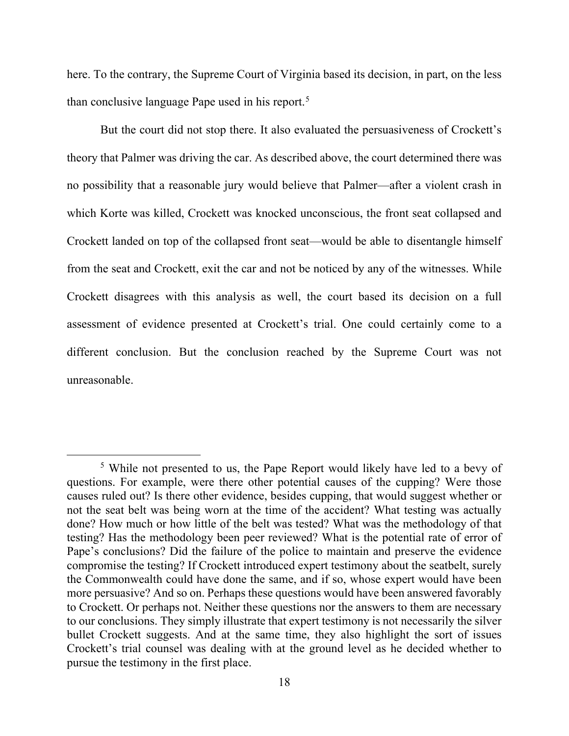here. To the contrary, the Supreme Court of Virginia based its decision, in part, on the less than conclusive language Pape used in his report.<sup>[5](#page-17-0)</sup>

But the court did not stop there. It also evaluated the persuasiveness of Crockett's theory that Palmer was driving the car. As described above, the court determined there was no possibility that a reasonable jury would believe that Palmer—after a violent crash in which Korte was killed, Crockett was knocked unconscious, the front seat collapsed and Crockett landed on top of the collapsed front seat—would be able to disentangle himself from the seat and Crockett, exit the car and not be noticed by any of the witnesses. While Crockett disagrees with this analysis as well, the court based its decision on a full assessment of evidence presented at Crockett's trial. One could certainly come to a different conclusion. But the conclusion reached by the Supreme Court was not unreasonable.

<span id="page-17-0"></span><sup>&</sup>lt;sup>5</sup> While not presented to us, the Pape Report would likely have led to a bevy of questions. For example, were there other potential causes of the cupping? Were those causes ruled out? Is there other evidence, besides cupping, that would suggest whether or not the seat belt was being worn at the time of the accident? What testing was actually done? How much or how little of the belt was tested? What was the methodology of that testing? Has the methodology been peer reviewed? What is the potential rate of error of Pape's conclusions? Did the failure of the police to maintain and preserve the evidence compromise the testing? If Crockett introduced expert testimony about the seatbelt, surely the Commonwealth could have done the same, and if so, whose expert would have been more persuasive? And so on. Perhaps these questions would have been answered favorably to Crockett. Or perhaps not. Neither these questions nor the answers to them are necessary to our conclusions. They simply illustrate that expert testimony is not necessarily the silver bullet Crockett suggests. And at the same time, they also highlight the sort of issues Crockett's trial counsel was dealing with at the ground level as he decided whether to pursue the testimony in the first place.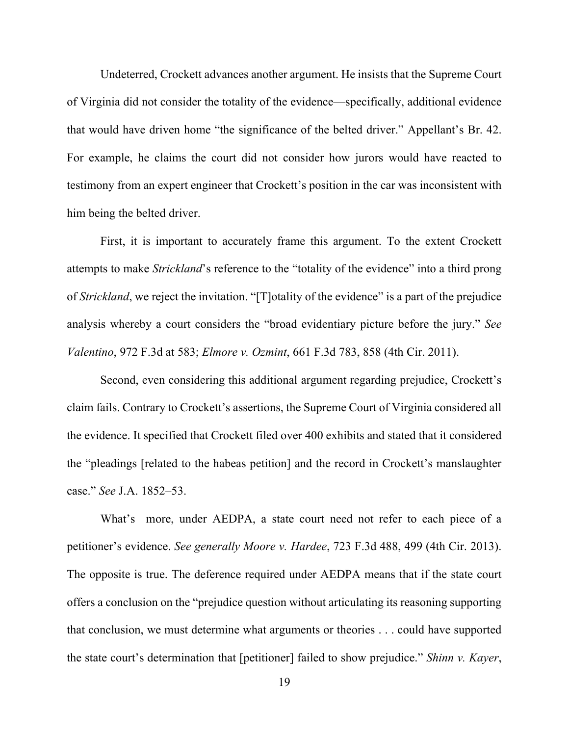Undeterred, Crockett advances another argument. He insists that the Supreme Court of Virginia did not consider the totality of the evidence—specifically, additional evidence that would have driven home "the significance of the belted driver." Appellant's Br. 42. For example, he claims the court did not consider how jurors would have reacted to testimony from an expert engineer that Crockett's position in the car was inconsistent with him being the belted driver.

First, it is important to accurately frame this argument. To the extent Crockett attempts to make *Strickland*'s reference to the "totality of the evidence" into a third prong of *Strickland*, we reject the invitation. "[T]otality of the evidence" is a part of the prejudice analysis whereby a court considers the "broad evidentiary picture before the jury." *See Valentino*, 972 F.3d at 583; *Elmore v. Ozmint*, 661 F.3d 783, 858 (4th Cir. 2011).

Second, even considering this additional argument regarding prejudice, Crockett's claim fails. Contrary to Crockett's assertions, the Supreme Court of Virginia considered all the evidence. It specified that Crockett filed over 400 exhibits and stated that it considered the "pleadings [related to the habeas petition] and the record in Crockett's manslaughter case." *See* J.A. 1852–53.

What's more, under AEDPA, a state court need not refer to each piece of a petitioner's evidence. *See generally Moore v. Hardee*, 723 F.3d 488, 499 (4th Cir. 2013). The opposite is true. The deference required under AEDPA means that if the state court offers a conclusion on the "prejudice question without articulating its reasoning supporting that conclusion, we must determine what arguments or theories . . . could have supported the state court's determination that [petitioner] failed to show prejudice." *Shinn v. Kayer*,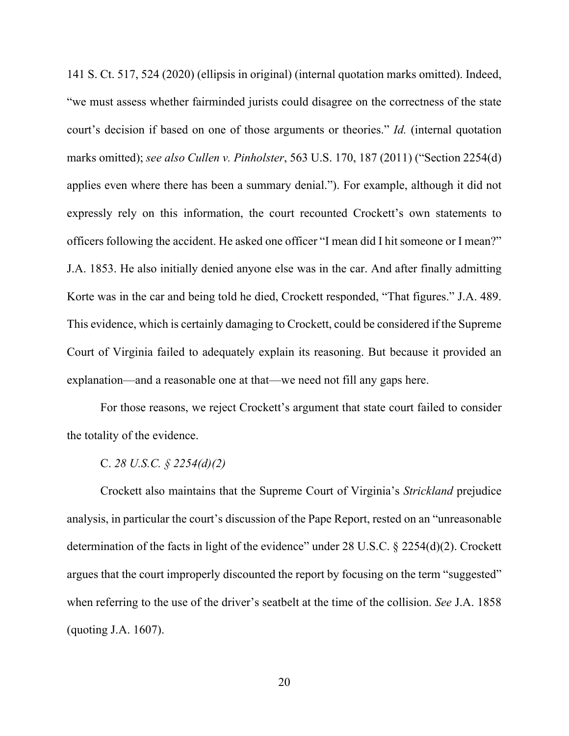141 S. Ct. 517, 524 (2020) (ellipsis in original) (internal quotation marks omitted). Indeed, "we must assess whether fairminded jurists could disagree on the correctness of the state court's decision if based on one of those arguments or theories." *Id.* (internal quotation marks omitted); *see also Cullen v. Pinholster*, 563 U.S. 170, 187 (2011) ("Section 2254(d) applies even where there has been a summary denial."). For example, although it did not expressly rely on this information, the court recounted Crockett's own statements to officers following the accident. He asked one officer "I mean did I hit someone or I mean?" J.A. 1853. He also initially denied anyone else was in the car. And after finally admitting Korte was in the car and being told he died, Crockett responded, "That figures." J.A. 489. This evidence, which is certainly damaging to Crockett, could be considered if the Supreme Court of Virginia failed to adequately explain its reasoning. But because it provided an explanation—and a reasonable one at that—we need not fill any gaps here.

For those reasons, we reject Crockett's argument that state court failed to consider the totality of the evidence.

C. *28 U.S.C. § 2254(d)(2)*

Crockett also maintains that the Supreme Court of Virginia's *Strickland* prejudice analysis, in particular the court's discussion of the Pape Report, rested on an "unreasonable determination of the facts in light of the evidence" under 28 U.S.C. § 2254(d)(2). Crockett argues that the court improperly discounted the report by focusing on the term "suggested" when referring to the use of the driver's seatbelt at the time of the collision. *See* J.A. 1858 (quoting J.A. 1607).